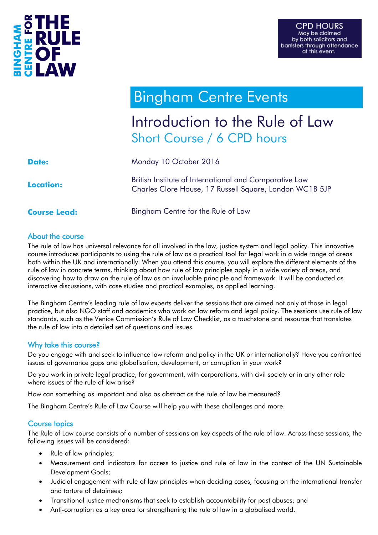

# **Bingham Centre Events**

# Introduction to the Rule of Law Short Course / 6 CPD hours

| <b>Date:</b>        | Monday 10 October 2016                                                                                            |
|---------------------|-------------------------------------------------------------------------------------------------------------------|
| <b>Location:</b>    | British Institute of International and Comparative Law<br>Charles Clore House, 17 Russell Square, London WC1B 5JP |
| <b>Course Lead:</b> | Bingham Centre for the Rule of Law                                                                                |

#### About the course

The rule of law has universal relevance for all involved in the law, justice system and legal policy. This innovative course introduces participants to using the rule of law as a practical tool for legal work in a wide range of areas both within the UK and internationally. When you attend this course, you will explore the different elements of the rule of law in concrete terms, thinking about how rule of law principles apply in a wide variety of areas, and discovering how to draw on the rule of law as an invaluable principle and framework. It will be conducted as interactive discussions, with case studies and practical examples, as applied learning.

The Bingham Centre's leading rule of law experts deliver the sessions that are aimed not only at those in legal practice, but also NGO staff and academics who work on law reform and legal policy. The sessions use rule of law standards, such as the Venice Commission's Rule of Law Checklist, as a touchstone and resource that translates the rule of law into a detailed set of questions and issues.

### Why take this course?

Do you engage with and seek to influence law reform and policy in the UK or internationally? Have you confronted issues of governance gaps and globalisation, development, or corruption in your work?

Do you work in private legal practice, for government, with corporations, with civil society or in any other role where issues of the rule of law arise?

How can something as important and also as abstract as the rule of law be measured?

The Bingham Centre's Rule of Law Course will help you with these challenges and more.

### Course topics

The Rule of Law course consists of a number of sessions on key aspects of the rule of law. Across these sessions, the following issues will be considered:

- Rule of law principles;
- Measurement and indicators for access to justice and rule of law in the context of the UN Sustainable Development Goals;
- Judicial engagement with rule of law principles when deciding cases, focusing on the international transfer and torture of detainees;
- Transitional justice mechanisms that seek to establish accountability for past abuses; and
- Anti-corruption as a key area for strengthening the rule of law in a globalised world.